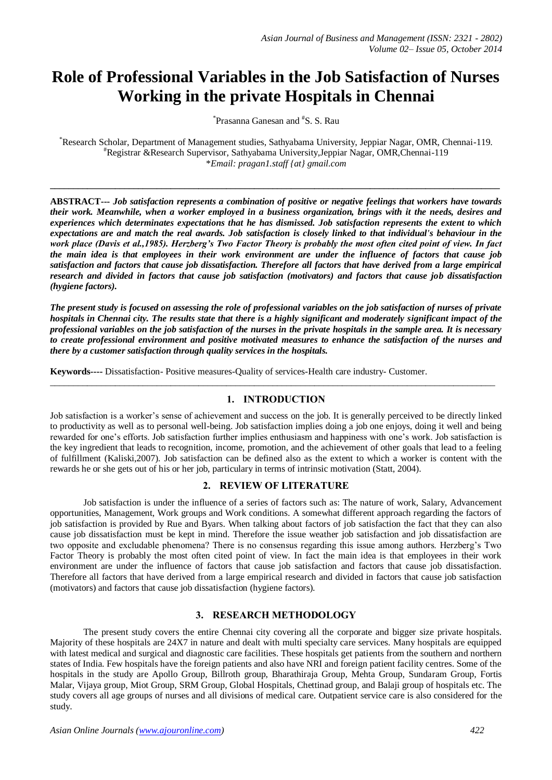# **Role of Professional Variables in the Job Satisfaction of Nurses Working in the private Hospitals in Chennai**

\* Prasanna Ganesan and # S. S. Rau

\*Research Scholar, Department of Management studies, Sathyabama University, Jeppiar Nagar, OMR, Chennai-119. #Registrar &Research Supervisor, Sathyabama University,Jeppiar Nagar, OMR,Chennai-119 \**Email: pragan1.staff {at} gmail.com*

**\_\_\_\_\_\_\_\_\_\_\_\_\_\_\_\_\_\_\_\_\_\_\_\_\_\_\_\_\_\_\_\_\_\_\_\_\_\_\_\_\_\_\_\_\_\_\_\_\_\_\_\_\_\_\_\_\_\_\_\_\_\_\_\_\_\_\_\_\_\_\_\_\_\_\_\_\_\_\_\_\_\_\_\_\_\_\_\_\_\_\_\_\_\_\_\_\_**

**ABSTRACT---** *Job satisfaction represents a combination of positive or negative feelings that workers have towards their work. Meanwhile, when a worker employed in a business organization, brings with it the needs, desires and experiences which determinates expectations that he has dismissed. Job satisfaction represents the extent to which expectations are and match the real awards. Job satisfaction is closely linked to that individual's behaviour in the work place (Davis et al.,1985). Herzberg's Two Factor Theory is probably the most often cited point of view. In fact the main idea is that employees in their work environment are under the influence of factors that cause job satisfaction and factors that cause job dissatisfaction. Therefore all factors that have derived from a large empirical research and divided in factors that cause job satisfaction (motivators) and factors that cause job dissatisfaction (hygiene factors).*

*The present study is focused on assessing the role of professional variables on the job satisfaction of nurses of private hospitals in Chennai city. The results state that there is a highly significant and moderately significant impact of the professional variables on the job satisfaction of the nurses in the private hospitals in the sample area. It is necessary to create professional environment and positive motivated measures to enhance the satisfaction of the nurses and there by a customer satisfaction through quality services in the hospitals.*

**Keywords----** Dissatisfaction- Positive measures-Quality of services-Health care industry- Customer.

# **1. INTRODUCTION**

 $\_$  ,  $\_$  ,  $\_$  ,  $\_$  ,  $\_$  ,  $\_$  ,  $\_$  ,  $\_$  ,  $\_$  ,  $\_$  ,  $\_$  ,  $\_$  ,  $\_$  ,  $\_$  ,  $\_$  ,  $\_$  ,  $\_$  ,  $\_$  ,  $\_$  ,  $\_$  ,  $\_$  ,  $\_$  ,  $\_$  ,  $\_$  ,  $\_$  ,  $\_$  ,  $\_$  ,  $\_$  ,  $\_$  ,  $\_$  ,  $\_$  ,  $\_$  ,  $\_$  ,  $\_$  ,  $\_$  ,  $\_$  ,  $\_$  ,

Job satisfaction is a worker's sense of achievement and success on the job. It is generally perceived to be directly linked to productivity as well as to personal well-being. Job satisfaction implies doing a job one enjoys, doing it well and being rewarded for one's efforts. Job satisfaction further implies enthusiasm and happiness with one's work. Job satisfaction is the key ingredient that leads to recognition, income, promotion, and the achievement of other goals that lead to a feeling of fulfillment (Kaliski,2007). Job satisfaction can be defined also as the extent to which a worker is content with the rewards he or she gets out of his or her job, particulary in terms of intrinsic motivation (Statt, 2004).

#### **2. REVIEW OF LITERATURE**

Job satisfaction is under the influence of a series of factors such as: The nature of work, Salary, Advancement opportunities, Management, Work groups and Work conditions. A somewhat different approach regarding the factors of job satisfaction is provided by Rue and Byars. When talking about factors of job satisfaction the fact that they can also cause job dissatisfaction must be kept in mind. Therefore the issue weather job satisfaction and job dissatisfaction are two opposite and excludable phenomena? There is no consensus regarding this issue among authors. Herzberg's Two Factor Theory is probably the most often cited point of view. In fact the main idea is that employees in their work environment are under the influence of factors that cause job satisfaction and factors that cause job dissatisfaction. Therefore all factors that have derived from a large empirical research and divided in factors that cause job satisfaction (motivators) and factors that cause job dissatisfaction (hygiene factors).

#### **3. RESEARCH METHODOLOGY**

The present study covers the entire Chennai city covering all the corporate and bigger size private hospitals. Majority of these hospitals are 24X7 in nature and dealt with multi specialty care services. Many hospitals are equipped with latest medical and surgical and diagnostic care facilities. These hospitals get patients from the southern and northern states of India. Few hospitals have the foreign patients and also have NRI and foreign patient facility centres. Some of the hospitals in the study are Apollo Group, Billroth group, Bharathiraja Group, Mehta Group, Sundaram Group, Fortis Malar, Vijaya group, Miot Group, SRM Group, Global Hospitals, Chettinad group, and Balaji group of hospitals etc. The study covers all age groups of nurses and all divisions of medical care. Outpatient service care is also considered for the study.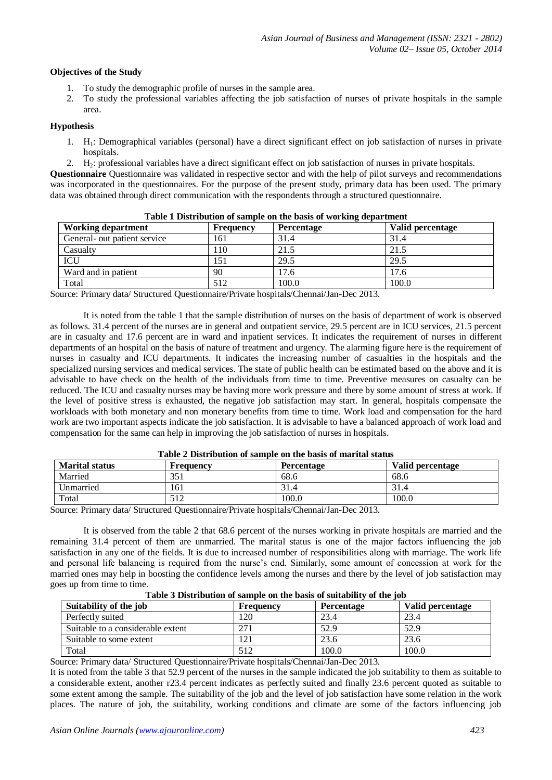# **Objectives of the Study**

- 1. To study the demographic profile of nurses in the sample area.
- 2. To study the professional variables affecting the job satisfaction of nurses of private hospitals in the sample area.

# **Hypothesis**

- 1. H1: Demographical variables (personal) have a direct significant effect on job satisfaction of nurses in private hospitals.
- 2. H2: professional variables have a direct significant effect on job satisfaction of nurses in private hospitals.

**Questionnaire** Questionnaire was validated in respective sector and with the help of pilot surveys and recommendations was incorporated in the questionnaires. For the purpose of the present study, primary data has been used. The primary data was obtained through direct communication with the respondents through a structured questionnaire.

| <b>Table 1 Distribution of sample on the basis of working department</b> |           |            |                  |  |  |  |  |  |  |
|--------------------------------------------------------------------------|-----------|------------|------------------|--|--|--|--|--|--|
| <b>Working department</b>                                                | Frequency | Percentage | Valid percentage |  |  |  |  |  |  |
| General- out patient service                                             | 161       | 31.4       | 31.4             |  |  |  |  |  |  |
| Casualty                                                                 | 110       | 21.5       | 21.5             |  |  |  |  |  |  |
| ICU                                                                      | 151       | 29.5       | 29.5             |  |  |  |  |  |  |
| Ward and in patient                                                      | 90        | 17.6       | 17.6             |  |  |  |  |  |  |
| Total                                                                    | 512       | 100.0      | 100.0            |  |  |  |  |  |  |

# **Table 1 Distribution of sample on the basis of working department**

Source: Primary data/ Structured Questionnaire/Private hospitals/Chennai/Jan-Dec 2013.

It is noted from the table 1 that the sample distribution of nurses on the basis of department of work is observed as follows. 31.4 percent of the nurses are in general and outpatient service, 29.5 percent are in ICU services, 21.5 percent are in casualty and 17.6 percent are in ward and inpatient services. It indicates the requirement of nurses in different departments of an hospital on the basis of nature of treatment and urgency. The alarming figure here is the requirement of nurses in casualty and ICU departments. It indicates the increasing number of casualties in the hospitals and the specialized nursing services and medical services. The state of public health can be estimated based on the above and it is advisable to have check on the health of the individuals from time to time. Preventive measures on casualty can be reduced. The ICU and casualty nurses may be having more work pressure and there by some amount of stress at work. If the level of positive stress is exhausted, the negative job satisfaction may start. In general, hospitals compensate the workloads with both monetary and non monetary benefits from time to time. Work load and compensation for the hard work are two important aspects indicate the job satisfaction. It is advisable to have a balanced approach of work load and compensation for the same can help in improving the job satisfaction of nurses in hospitals.

| <b>Table 2 Distribution of sample on the basis of marital status</b> |           |                   |                  |  |  |  |  |  |  |
|----------------------------------------------------------------------|-----------|-------------------|------------------|--|--|--|--|--|--|
| <b>Marital status</b>                                                | Frequency | <b>Percentage</b> | Valid percentage |  |  |  |  |  |  |
| Married                                                              | 351       | 68.6              | 68.6             |  |  |  |  |  |  |
| Unmarried                                                            | 161       |                   | 31.4             |  |  |  |  |  |  |
| Total                                                                | 512       | 100.0             | 100.0            |  |  |  |  |  |  |

# **Table 2 Distribution of sample on the basis of marital status**

Source: Primary data/ Structured Questionnaire/Private hospitals/Chennai/Jan-Dec 2013.

It is observed from the table 2 that 68.6 percent of the nurses working in private hospitals are married and the remaining 31.4 percent of them are unmarried. The marital status is one of the major factors influencing the job satisfaction in any one of the fields. It is due to increased number of responsibilities along with marriage. The work life and personal life balancing is required from the nurse's end. Similarly, some amount of concession at work for the married ones may help in boosting the confidence levels among the nurses and there by the level of job satisfaction may goes up from time to time.

**Table 3 Distribution of sample on the basis of suitability of the job**

| Table of Distribution of sample on the basis of suitablity of the job |           |                   |                  |  |  |  |  |  |  |
|-----------------------------------------------------------------------|-----------|-------------------|------------------|--|--|--|--|--|--|
| Suitability of the job                                                | Frequency | <b>Percentage</b> | Valid percentage |  |  |  |  |  |  |
| Perfectly suited                                                      | 120       | 23.4              | 23.4             |  |  |  |  |  |  |
| Suitable to a considerable extent                                     | 271       | 52.9              | 52.9             |  |  |  |  |  |  |
| Suitable to some extent                                               | 121       | 23.6              | 23.6             |  |  |  |  |  |  |
| Total                                                                 | 512       | 100.0             | 100.0            |  |  |  |  |  |  |

Source: Primary data/ Structured Questionnaire/Private hospitals/Chennai/Jan-Dec 2013.

It is noted from the table 3 that 52.9 percent of the nurses in the sample indicated the job suitability to them as suitable to a considerable extent, another r23.4 percent indicates as perfectly suited and finally 23.6 percent quoted as suitable to some extent among the sample. The suitability of the job and the level of job satisfaction have some relation in the work places. The nature of job, the suitability, working conditions and climate are some of the factors influencing job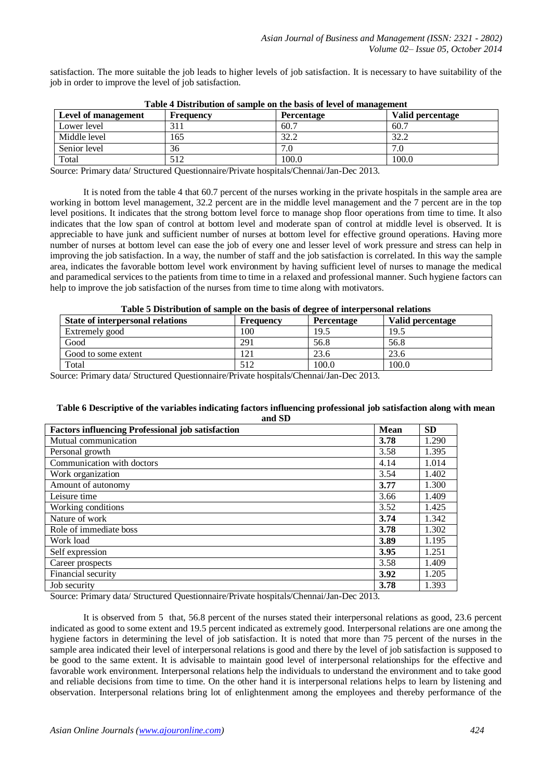satisfaction. The more suitable the job leads to higher levels of job satisfaction. It is necessary to have suitability of the job in order to improve the level of job satisfaction.

| Table + Distribution of sample on the basis of level of management |           |                   |                  |  |  |  |  |  |  |
|--------------------------------------------------------------------|-----------|-------------------|------------------|--|--|--|--|--|--|
| Level of management                                                | Frequency | <b>Percentage</b> | Valid percentage |  |  |  |  |  |  |
| Lower level                                                        | 311       | 60.7              | 60.7             |  |  |  |  |  |  |
| Middle level                                                       | 165       | 32.2              | 32.2             |  |  |  |  |  |  |
| Senior level                                                       | 36        |                   |                  |  |  |  |  |  |  |
| Total                                                              | 512       | 100.0             | 100.0            |  |  |  |  |  |  |

**Table 4 Distribution of sample on the basis of level of management**

Source: Primary data/ Structured Questionnaire/Private hospitals/Chennai/Jan-Dec 2013.

It is noted from the table 4 that 60.7 percent of the nurses working in the private hospitals in the sample area are working in bottom level management, 32.2 percent are in the middle level management and the 7 percent are in the top level positions. It indicates that the strong bottom level force to manage shop floor operations from time to time. It also indicates that the low span of control at bottom level and moderate span of control at middle level is observed. It is appreciable to have junk and sufficient number of nurses at bottom level for effective ground operations. Having more number of nurses at bottom level can ease the job of every one and lesser level of work pressure and stress can help in improving the job satisfaction. In a way, the number of staff and the job satisfaction is correlated. In this way the sample area, indicates the favorable bottom level work environment by having sufficient level of nurses to manage the medical and paramedical services to the patients from time to time in a relaxed and professional manner. Such hygiene factors can help to improve the job satisfaction of the nurses from time to time along with motivators.

#### **Table 5 Distribution of sample on the basis of degree of interpersonal relations**

| State of interpersonal relations | <b>Frequency</b> | Percentage | Valid percentage |
|----------------------------------|------------------|------------|------------------|
| Extremely good                   | 100              | 19.5       | 19.5             |
| Good                             | 291              | 56.8       | 56.8             |
| Good to some extent              | 12i              | 23.6       | 23.6             |
| Total                            | 512              | 100.0      | 100.0            |

Source: Primary data/ Structured Questionnaire/Private hospitals/Chennai/Jan-Dec 2013.

#### **Table 6 Descriptive of the variables indicating factors influencing professional job satisfaction along with mean and SD**

| <b>Factors influencing Professional job satisfaction</b> | <b>Mean</b> | <b>SD</b> |
|----------------------------------------------------------|-------------|-----------|
| Mutual communication                                     | 3.78        | 1.290     |
| Personal growth                                          | 3.58        | 1.395     |
| Communication with doctors                               | 4.14        | 1.014     |
| Work organization                                        | 3.54        | 1.402     |
| Amount of autonomy                                       | 3.77        | 1.300     |
| Leisure time                                             | 3.66        | 1.409     |
| Working conditions                                       | 3.52        | 1.425     |
| Nature of work                                           | 3.74        | 1.342     |
| Role of immediate boss                                   | 3.78        | 1.302     |
| Work load                                                | 3.89        | 1.195     |
| Self expression                                          | 3.95        | 1.251     |
| Career prospects                                         | 3.58        | 1.409     |
| Financial security                                       | 3.92        | 1.205     |
| Job security                                             | 3.78        | 1.393     |

Source: Primary data/ Structured Questionnaire/Private hospitals/Chennai/Jan-Dec 2013.

It is observed from 5 that, 56.8 percent of the nurses stated their interpersonal relations as good, 23.6 percent indicated as good to some extent and 19.5 percent indicated as extremely good. Interpersonal relations are one among the hygiene factors in determining the level of job satisfaction. It is noted that more than 75 percent of the nurses in the sample area indicated their level of interpersonal relations is good and there by the level of job satisfaction is supposed to be good to the same extent. It is advisable to maintain good level of interpersonal relationships for the effective and favorable work environment. Interpersonal relations help the individuals to understand the environment and to take good and reliable decisions from time to time. On the other hand it is interpersonal relations helps to learn by listening and observation. Interpersonal relations bring lot of enlightenment among the employees and thereby performance of the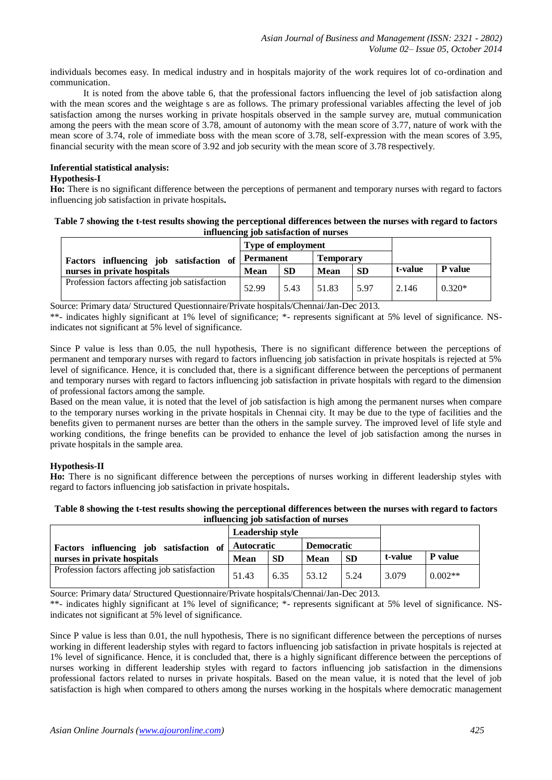individuals becomes easy. In medical industry and in hospitals majority of the work requires lot of co-ordination and communication.

It is noted from the above table 6, that the professional factors influencing the level of job satisfaction along with the mean scores and the weightage s are as follows. The primary professional variables affecting the level of job satisfaction among the nurses working in private hospitals observed in the sample survey are, mutual communication among the peers with the mean score of 3.78, amount of autonomy with the mean score of 3.77, nature of work with the mean score of 3.74, role of immediate boss with the mean score of 3.78, self-expression with the mean scores of 3.95, financial security with the mean score of 3.92 and job security with the mean score of 3.78 respectively.

# **Inferential statistical analysis:**

#### **Hypothesis-I**

**Ho:** There is no significant difference between the perceptions of permanent and temporary nurses with regard to factors influencing job satisfaction in private hospitals**.**

#### **Table 7 showing the t-test results showing the perceptional differences between the nurses with regard to factors influencing job satisfaction of nurses**

|                                               | Type of employment |           |                  |           |         |                |
|-----------------------------------------------|--------------------|-----------|------------------|-----------|---------|----------------|
| Factors influencing job satisfaction of       | Permanent          |           | <b>Temporary</b> |           |         |                |
| nurses in private hospitals                   | <b>Mean</b>        | <b>SD</b> | Mean             | <b>SD</b> | t-value | <b>P</b> value |
| Profession factors affecting job satisfaction | 52.99              | 5.43      | 51.83            | 5.97      | 2.146   | $0.320*$       |

Source: Primary data/ Structured Questionnaire/Private hospitals/Chennai/Jan-Dec 2013.

\*\*- indicates highly significant at 1% level of significance; \*- represents significant at 5% level of significance. NSindicates not significant at 5% level of significance.

Since P value is less than 0.05, the null hypothesis, There is no significant difference between the perceptions of permanent and temporary nurses with regard to factors influencing job satisfaction in private hospitals is rejected at 5% level of significance. Hence, it is concluded that, there is a significant difference between the perceptions of permanent and temporary nurses with regard to factors influencing job satisfaction in private hospitals with regard to the dimension of professional factors among the sample.

Based on the mean value, it is noted that the level of job satisfaction is high among the permanent nurses when compare to the temporary nurses working in the private hospitals in Chennai city. It may be due to the type of facilities and the benefits given to permanent nurses are better than the others in the sample survey. The improved level of life style and working conditions, the fringe benefits can be provided to enhance the level of job satisfaction among the nurses in private hospitals in the sample area.

#### **Hypothesis-II**

**Ho:** There is no significant difference between the perceptions of nurses working in different leadership styles with regard to factors influencing job satisfaction in private hospitals**.**

#### **Table 8 showing the t-test results showing the perceptional differences between the nurses with regard to factors influencing job satisfaction of nurses**

|                                               | <b>Leadership style</b> |           |                   |           |         |                |
|-----------------------------------------------|-------------------------|-----------|-------------------|-----------|---------|----------------|
| Factors influencing job satisfaction of       | <b>Autocratic</b>       |           | <b>Democratic</b> |           |         |                |
| nurses in private hospitals                   | <b>Mean</b>             | <b>SD</b> | Mean              | <b>SD</b> | t-value | <b>P</b> value |
| Profession factors affecting job satisfaction | 51.43                   | 6.35      | 53.12             | 5.24      | 3.079   | $0.002**$      |

Source: Primary data/ Structured Questionnaire/Private hospitals/Chennai/Jan-Dec 2013.

\*\*- indicates highly significant at 1% level of significance; \*- represents significant at 5% level of significance. NSindicates not significant at 5% level of significance.

Since P value is less than 0.01, the null hypothesis, There is no significant difference between the perceptions of nurses working in different leadership styles with regard to factors influencing job satisfaction in private hospitals is rejected at 1% level of significance. Hence, it is concluded that, there is a highly significant difference between the perceptions of nurses working in different leadership styles with regard to factors influencing job satisfaction in the dimensions professional factors related to nurses in private hospitals. Based on the mean value, it is noted that the level of job satisfaction is high when compared to others among the nurses working in the hospitals where democratic management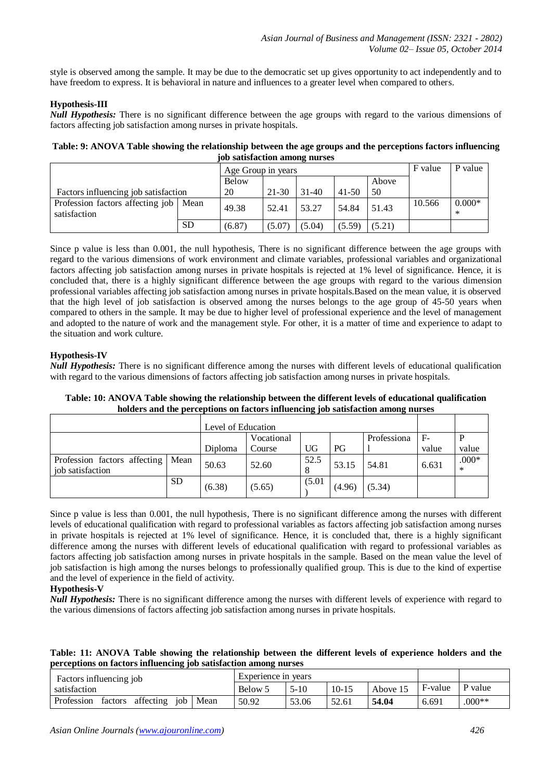style is observed among the sample. It may be due to the democratic set up gives opportunity to act independently and to have freedom to express. It is behavioral in nature and influences to a greater level when compared to others.

# **Hypothesis-III**

*Null Hypothesis:* There is no significant difference between the age groups with regard to the various dimensions of factors affecting job satisfaction among nurses in private hospitals.

**Table: 9: ANOVA Table showing the relationship between the age groups and the perceptions factors influencing job satisfaction among nurses**

|                                                         |           | Age Group in years |        |         |           |        | F value | P value            |
|---------------------------------------------------------|-----------|--------------------|--------|---------|-----------|--------|---------|--------------------|
|                                                         |           | Below              |        |         |           | Above  |         |                    |
| Factors influencing job satisfaction                    |           | 20                 | 21-30  | $31-40$ | $41 - 50$ | 50     |         |                    |
| Profession factors affecting job   Mean<br>satisfaction |           | 49.38              | 52.41  | 53.27   | 54.84     | 51.43  | 10.566  | $0.000*$<br>$\ast$ |
|                                                         | <b>SD</b> | (6.87)             | (5.07) | (5.04)  | (5.59)    | (5.21) |         |                    |

Since p value is less than 0.001, the null hypothesis, There is no significant difference between the age groups with regard to the various dimensions of work environment and climate variables, professional variables and organizational factors affecting job satisfaction among nurses in private hospitals is rejected at 1% level of significance. Hence, it is concluded that, there is a highly significant difference between the age groups with regard to the various dimension professional variables affecting job satisfaction among nurses in private hospitals.Based on the mean value, it is observed that the high level of job satisfaction is observed among the nurses belongs to the age group of 45-50 years when compared to others in the sample. It may be due to higher level of professional experience and the level of management and adopted to the nature of work and the management style. For other, it is a matter of time and experience to adapt to the situation and work culture.

# **Hypothesis-IV**

*Null Hypothesis:* There is no significant difference among the nurses with different levels of educational qualification with regard to the various dimensions of factors affecting job satisfaction among nurses in private hospitals.

**Table: 10: ANOVA Table showing the relationship between the different levels of educational qualification holders and the perceptions on factors influencing job satisfaction among nurses**

|                                                  |           |            | Level of Education |        |             |        |       |                   |
|--------------------------------------------------|-----------|------------|--------------------|--------|-------------|--------|-------|-------------------|
|                                                  |           | Vocational |                    |        | Professiona | $F-$   |       |                   |
|                                                  |           | Diploma    | Course             | UG     | РG          |        | value | value             |
| Profession factors affecting<br>job satisfaction | Mean      | 50.63      | 52.60              | 52.5   | 53.15       | 54.81  | 6.631 | $.000*$<br>$\ast$ |
|                                                  | <b>SD</b> | (6.38)     | (5.65)             | (5.01) | (4.96)      | (5.34) |       |                   |

Since p value is less than 0.001, the null hypothesis, There is no significant difference among the nurses with different levels of educational qualification with regard to professional variables as factors affecting job satisfaction among nurses in private hospitals is rejected at 1% level of significance. Hence, it is concluded that, there is a highly significant difference among the nurses with different levels of educational qualification with regard to professional variables as factors affecting job satisfaction among nurses in private hospitals in the sample. Based on the mean value the level of job satisfaction is high among the nurses belongs to professionally qualified group. This is due to the kind of expertise and the level of experience in the field of activity.

# **Hypothesis-V**

*Null Hypothesis:* There is no significant difference among the nurses with different levels of experience with regard to the various dimensions of factors affecting job satisfaction among nurses in private hospitals.

**Table: 11: ANOVA Table showing the relationship between the different levels of experience holders and the perceptions on factors influencing job satisfaction among nurses**

| Factors influencing job                     | Experience in years |        |           |          |         |          |
|---------------------------------------------|---------------------|--------|-----------|----------|---------|----------|
| satisfaction                                | Below 5             | $5-10$ | $10 - 15$ | Above 15 | F-value | P value  |
| Profession<br>affecting job Mean<br>factors | 50.92               | 53.06  | 52.61     | 54.04    | 6.691   | $.000**$ |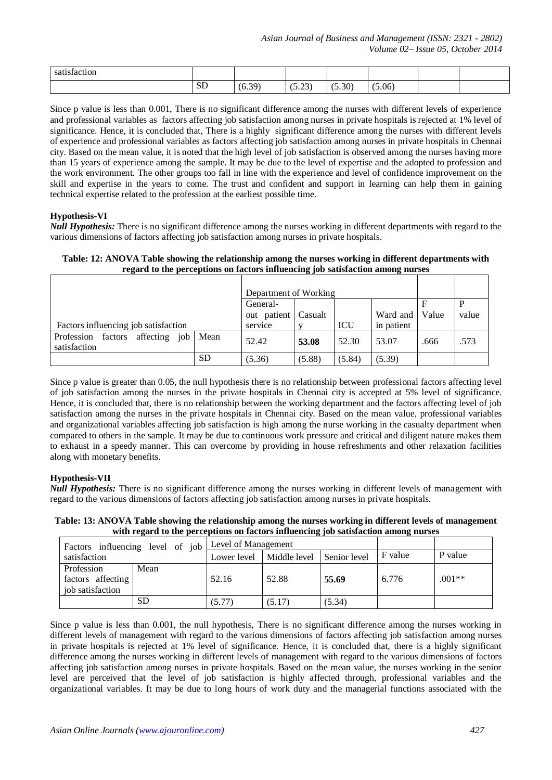| ctior<br>-sat<br>≏tac. |                  |                              |                    |        |      |  |
|------------------------|------------------|------------------------------|--------------------|--------|------|--|
|                        | $\alpha$ T<br>עט | $20^{\circ}$<br>$\mathbf{U}$ | $\bigcap$<br>10.LJ | (5.30) | 0.06 |  |

Since p value is less than 0.001, There is no significant difference among the nurses with different levels of experience and professional variables as factors affecting job satisfaction among nurses in private hospitals is rejected at 1% level of significance. Hence, it is concluded that, There is a highly significant difference among the nurses with different levels of experience and professional variables as factors affecting job satisfaction among nurses in private hospitals in Chennai city. Based on the mean value, it is noted that the high level of job satisfaction is observed among the nurses having more than 15 years of experience among the sample. It may be due to the level of expertise and the adopted to profession and the work environment. The other groups too fall in line with the experience and level of confidence improvement on the skill and expertise in the years to come. The trust and confident and support in learning can help them in gaining technical expertise related to the profession at the earliest possible time.

# **Hypothesis-VI**

*Null Hypothesis:* There is no significant difference among the nurses working in different departments with regard to the various dimensions of factors affecting job satisfaction among nurses in private hospitals.

| Table: 12: ANOVA Table showing the relationship among the nurses working in different departments with |
|--------------------------------------------------------------------------------------------------------|
| regard to the perceptions on factors influencing job satisfaction among nurses                         |

|                                                     |      | Department of Working |         |        |            |       |       |
|-----------------------------------------------------|------|-----------------------|---------|--------|------------|-------|-------|
|                                                     |      | General-              |         |        |            |       | P     |
|                                                     |      | out patient           | Casualt |        | Ward and   | Value | value |
| Factors influencing job satisfaction                |      | service               |         | ICU    | in patient |       |       |
| factors affecting job<br>Profession<br>satisfaction | Mean | 52.42                 | 53.08   | 52.30  | 53.07      | .666  | .573  |
|                                                     | SD   | (5.36)                | (5.88)  | (5.84) | (5.39)     |       |       |

Since p value is greater than 0.05, the null hypothesis there is no relationship between professional factors affecting level of job satisfaction among the nurses in the private hospitals in Chennai city is accepted at 5% level of significance. Hence, it is concluded that, there is no relationship between the working department and the factors affecting level of job satisfaction among the nurses in the private hospitals in Chennai city. Based on the mean value, professional variables and organizational variables affecting job satisfaction is high among the nurse working in the casualty department when compared to others in the sample. It may be due to continuous work pressure and critical and diligent nature makes them to exhaust in a speedy manner. This can overcome by providing in house refreshments and other relaxation facilities along with monetary benefits.

# **Hypothesis-VII**

*Null Hypothesis:* There is no significant difference among the nurses working in different levels of management with regard to the various dimensions of factors affecting job satisfaction among nurses in private hospitals.

**Table: 13: ANOVA Table showing the relationship among the nurses working in different levels of management with regard to the perceptions on factors influencing job satisfaction among nurses**

|                                                     |           | Factors influencing level of job Level of Management |                           |        |         |          |
|-----------------------------------------------------|-----------|------------------------------------------------------|---------------------------|--------|---------|----------|
| satisfaction                                        |           | Lower level                                          | Middle level Senior level |        | F value | P value  |
| Profession<br>factors affecting<br>job satisfaction | Mean      | 52.16                                                | 52.88                     | 55.69  | 6.776   | $.001**$ |
|                                                     | <b>SD</b> | (5.77)                                               | (5.17)                    | (5.34) |         |          |

Since p value is less than 0.001, the null hypothesis, There is no significant difference among the nurses working in different levels of management with regard to the various dimensions of factors affecting job satisfaction among nurses in private hospitals is rejected at 1% level of significance. Hence, it is concluded that, there is a highly significant difference among the nurses working in different levels of management with regard to the various dimensions of factors affecting job satisfaction among nurses in private hospitals. Based on the mean value, the nurses working in the senior level are perceived that the level of job satisfaction is highly affected through, professional variables and the organizational variables. It may be due to long hours of work duty and the managerial functions associated with the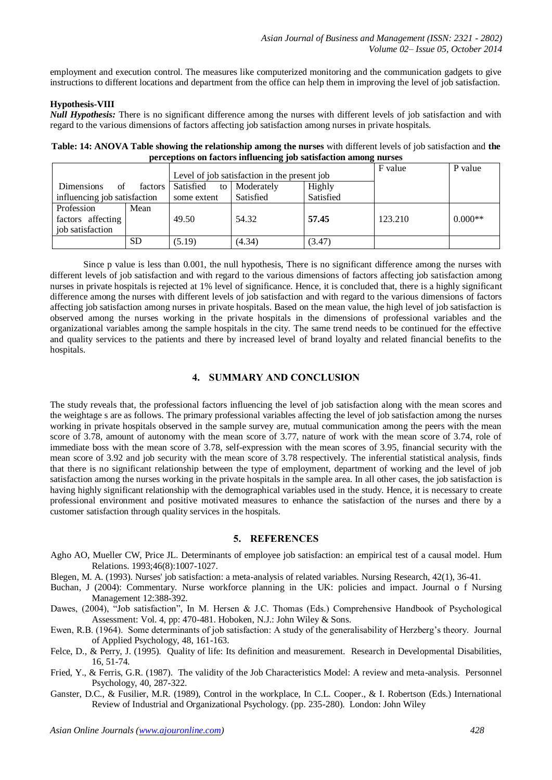employment and execution control. The measures like computerized monitoring and the communication gadgets to give instructions to different locations and department from the office can help them in improving the level of job satisfaction.

#### **Hypothesis-VIII**

*Null Hypothesis:* There is no significant difference among the nurses with different levels of job satisfaction and with regard to the various dimensions of factors affecting job satisfaction among nurses in private hospitals.

**Table: 14: ANOVA Table showing the relationship among the nurses** with different levels of job satisfaction and **the perceptions on factors influencing job satisfaction among nurses**

|                                    |                 | Level of job satisfaction in the present job | F value   | P value |           |
|------------------------------------|-----------------|----------------------------------------------|-----------|---------|-----------|
| <b>Dimensions</b><br>factors<br>of | Satisfied<br>to | Moderately                                   | Highly    |         |           |
| influencing job satisfaction       | some extent     | Satisfied                                    | Satisfied |         |           |
| Profession<br>Mean                 |                 |                                              |           |         |           |
| factors affecting                  | 49.50           | 54.32                                        | 57.45     | 123.210 | $0.000**$ |
| job satisfaction                   |                 |                                              |           |         |           |
| <b>SD</b>                          | (5.19)          | (4.34)                                       | (3.47)    |         |           |

Since p value is less than 0.001, the null hypothesis, There is no significant difference among the nurses with different levels of job satisfaction and with regard to the various dimensions of factors affecting job satisfaction among nurses in private hospitals is rejected at 1% level of significance. Hence, it is concluded that, there is a highly significant difference among the nurses with different levels of job satisfaction and with regard to the various dimensions of factors affecting job satisfaction among nurses in private hospitals. Based on the mean value, the high level of job satisfaction is observed among the nurses working in the private hospitals in the dimensions of professional variables and the organizational variables among the sample hospitals in the city. The same trend needs to be continued for the effective and quality services to the patients and there by increased level of brand loyalty and related financial benefits to the hospitals.

# **4. SUMMARY AND CONCLUSION**

The study reveals that, the professional factors influencing the level of job satisfaction along with the mean scores and the weightage s are as follows. The primary professional variables affecting the level of job satisfaction among the nurses working in private hospitals observed in the sample survey are, mutual communication among the peers with the mean score of 3.78, amount of autonomy with the mean score of 3.77, nature of work with the mean score of 3.74, role of immediate boss with the mean score of 3.78, self-expression with the mean scores of 3.95, financial security with the mean score of 3.92 and job security with the mean score of 3.78 respectively. The inferential statistical analysis, finds that there is no significant relationship between the type of employment, department of working and the level of job satisfaction among the nurses working in the private hospitals in the sample area. In all other cases, the job satisfaction is having highly significant relationship with the demographical variables used in the study. Hence, it is necessary to create professional environment and positive motivated measures to enhance the satisfaction of the nurses and there by a customer satisfaction through quality services in the hospitals.

#### **5. REFERENCES**

- Agho AO, Mueller CW, Price JL. Determinants of employee job satisfaction: an empirical test of a causal model. Hum Relations. 1993;46(8):1007-1027.
- Blegen, M. A. (1993). Nurses' job satisfaction: a meta-analysis of related variables. Nursing Research, 42(1), 36-41.
- Buchan, J (2004): Commentary. Nurse workforce planning in the UK: policies and impact. Journal o f Nursing Management 12:388-392.
- Dawes, (2004), "Job satisfaction", In M. Hersen & J.C. Thomas (Eds.) Comprehensive Handbook of Psychological Assessment: Vol. 4, pp: 470-481. Hoboken, N.J.: John Wiley & Sons.
- Ewen, R.B. (1964). Some determinants of job satisfaction: A study of the generalisability of Herzberg's theory. Journal of Applied Psychology, 48, 161-163.
- Felce, D., & Perry, J. (1995). Quality of life: Its definition and measurement. Research in Developmental Disabilities, 16, 51-74.
- Fried, Y., & Ferris, G.R. (1987). The validity of the Job Characteristics Model: A review and meta-analysis. Personnel Psychology, 40, 287-322.
- Ganster, D.C., & Fusilier, M.R. (1989), Control in the workplace, In C.L. Cooper., & I. Robertson (Eds.) International Review of Industrial and Organizational Psychology. (pp. 235-280). London: John Wiley